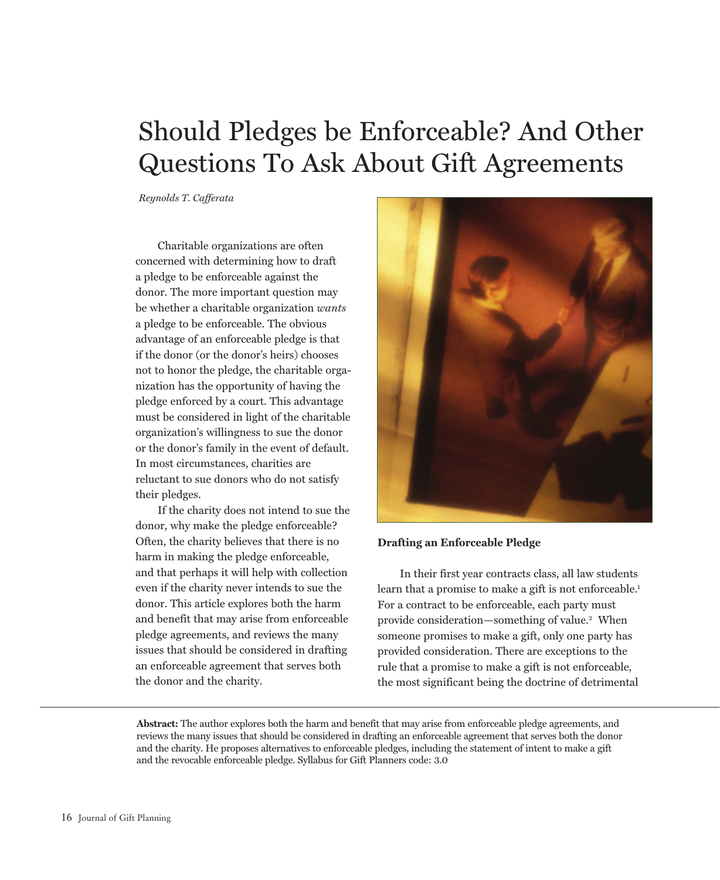# Should Pledges be Enforceable? And Other Questions To Ask About Gift Agreements

Reynolds T. Cafferata

Charitable organizations are often concerned with determining how to draft a pledge to be enforceable against the donor. The more important question may be whether a charitable organization wants a pledge to be enforceable. The obvious advantage of an enforceable pledge is that if the donor (or the donor's heirs) chooses not to honor the pledge, the charitable organization has the opportunity of having the pledge enforced by a court. This advantage must be considered in light of the charitable organization's willingness to sue the donor or the donor's family in the event of default. In most circumstances, charities are reluctant to sue donors who do not satisfy their pledges.

If the charity does not intend to sue the donor, why make the pledge enforceable? Often, the charity believes that there is no harm in making the pledge enforceable, and that perhaps it will help with collection even if the charity never intends to sue the donor. This article explores both the harm and benefit that may arise from enforceable pledge agreements, and reviews the many issues that should be considered in drafting an enforceable agreement that serves both the donor and the charity.



## **Drafting an Enforceable Pledge**

In their first year contracts class, all law students learn that a promise to make a gift is not enforceable.<sup>1</sup> For a contract to be enforceable, each party must provide consideration—something of value.<sup>2</sup> When someone promises to make a gift, only one party has provided consideration. There are exceptions to the rule that a promise to make a gift is not enforceable, the most significant being the doctrine of detrimental

Abstract: The author explores both the harm and benefit that may arise from enforceable pledge agreements, and reviews the many issues that should be considered in drafting an enforceable agreement that serves both the donor and the charity. He proposes alternatives to enforceable pledges, including the statement of intent to make a gift and the revocable enforceable pledge. Syllabus for Gift Planners code: 3.0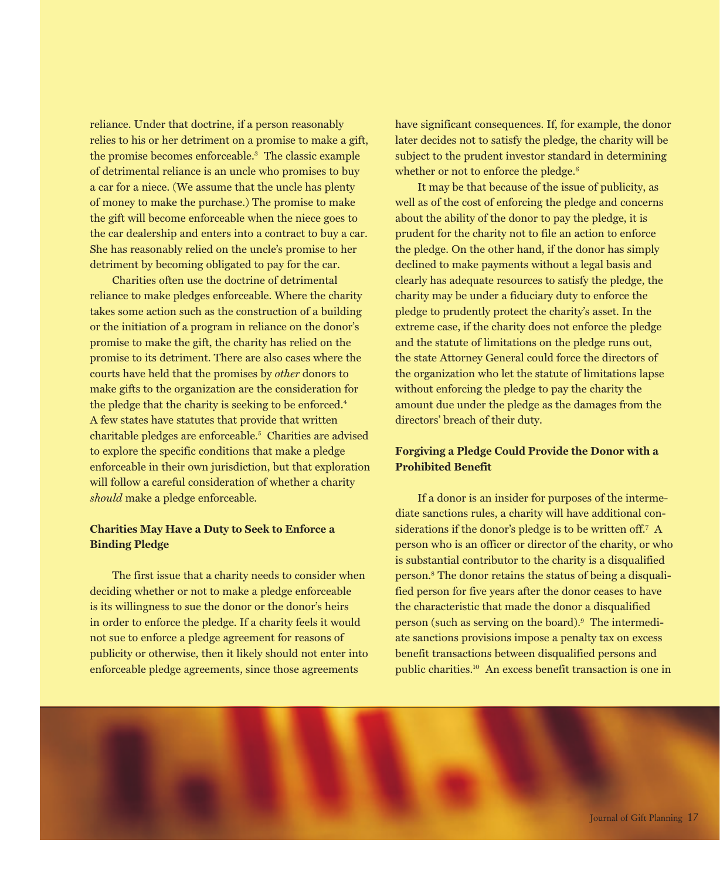reliance. Under that doctrine, if a person reasonably relies to his or her detriment on a promise to make a gift, the promise becomes enforceable.<sup>3</sup> The classic example of detrimental reliance is an uncle who promises to buy a car for a niece. (We assume that the uncle has plenty of money to make the purchase.) The promise to make the gift will become enforceable when the niece goes to the car dealership and enters into a contract to buy a car. She has reasonably relied on the uncle's promise to her detriment by becoming obligated to pay for the car.

Charities often use the doctrine of detrimental reliance to make pledges enforceable. Where the charity takes some action such as the construction of a building or the initiation of a program in reliance on the donor's promise to make the gift, the charity has relied on the promise to its detriment. There are also cases where the courts have held that the promises by *other* donors to make gifts to the organization are the consideration for the pledge that the charity is seeking to be enforced.<sup>4</sup> A few states have statutes that provide that written charitable pledges are enforceable.<sup>5</sup> Charities are advised to explore the specific conditions that make a pledge enforceable in their own jurisdiction, but that exploration will follow a careful consideration of whether a charity should make a pledge enforceable.

# **Charities May Have a Duty to Seek to Enforce a Binding Pledge**

The first issue that a charity needs to consider when deciding whether or not to make a pledge enforceable is its willingness to sue the donor or the donor's heirs in order to enforce the pledge. If a charity feels it would not sue to enforce a pledge agreement for reasons of publicity or otherwise, then it likely should not enter into enforceable pledge agreements, since those agreements

have significant consequences. If, for example, the donor later decides not to satisfy the pledge, the charity will be subject to the prudent investor standard in determining whether or not to enforce the pledge.<sup>6</sup>

It may be that because of the issue of publicity, as well as of the cost of enforcing the pledge and concerns about the ability of the donor to pay the pledge, it is prudent for the charity not to file an action to enforce the pledge. On the other hand, if the donor has simply declined to make payments without a legal basis and clearly has adequate resources to satisfy the pledge, the charity may be under a fiduciary duty to enforce the pledge to prudently protect the charity's asset. In the extreme case, if the charity does not enforce the pledge and the statute of limitations on the pledge runs out, the state Attorney General could force the directors of the organization who let the statute of limitations lapse without enforcing the pledge to pay the charity the amount due under the pledge as the damages from the directors' breach of their duty.

# Forgiving a Pledge Could Provide the Donor with a **Prohibited Benefit**

If a donor is an insider for purposes of the intermediate sanctions rules, a charity will have additional considerations if the donor's pledge is to be written off.7 A person who is an officer or director of the charity, or who is substantial contributor to the charity is a disqualified person.<sup>8</sup> The donor retains the status of being a disqualified person for five years after the donor ceases to have the characteristic that made the donor a disqualified person (such as serving on the board).<sup>9</sup> The intermediate sanctions provisions impose a penalty tax on excess benefit transactions between disqualified persons and public charities.<sup>10</sup> An excess benefit transaction is one in

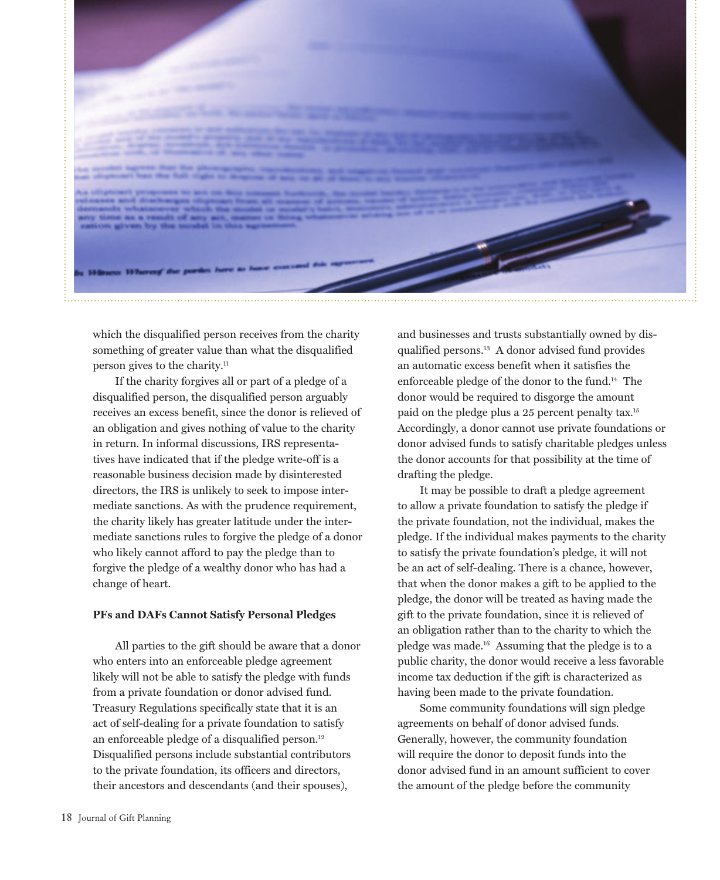

which the disqualified person receives from the charity something of greater value than what the disqualified person gives to the charity.<sup>11</sup>

If the charity forgives all or part of a pledge of a disqualified person, the disqualified person arguably receives an excess benefit, since the donor is relieved of an obligation and gives nothing of value to the charity in return. In informal discussions, IRS representatives have indicated that if the pledge write-off is a reasonable business decision made by disinterested directors, the IRS is unlikely to seek to impose intermediate sanctions. As with the prudence requirement, the charity likely has greater latitude under the intermediate sanctions rules to forgive the pledge of a donor who likely cannot afford to pay the pledge than to forgive the pledge of a wealthy donor who has had a change of heart.

## **PFs and DAFs Cannot Satisfy Personal Pledges**

All parties to the gift should be aware that a donor who enters into an enforceable pledge agreement likely will not be able to satisfy the pledge with funds from a private foundation or donor advised fund. Treasury Regulations specifically state that it is an act of self-dealing for a private foundation to satisfy an enforceable pledge of a disqualified person.<sup>12</sup> Disqualified persons include substantial contributors to the private foundation, its officers and directors, their ancestors and descendants (and their spouses),

and businesses and trusts substantially owned by disqualified persons.<sup>13</sup> A donor advised fund provides an automatic excess benefit when it satisfies the enforceable pledge of the donor to the fund.<sup>14</sup> The donor would be required to disgorge the amount paid on the pledge plus a 25 percent penalty tax.<sup>15</sup> Accordingly, a donor cannot use private foundations or donor advised funds to satisfy charitable pledges unless the donor accounts for that possibility at the time of drafting the pledge.

It may be possible to draft a pledge agreement to allow a private foundation to satisfy the pledge if the private foundation, not the individual, makes the pledge. If the individual makes payments to the charity to satisfy the private foundation's pledge, it will not be an act of self-dealing. There is a chance, however, that when the donor makes a gift to be applied to the pledge, the donor will be treated as having made the gift to the private foundation, since it is relieved of an obligation rather than to the charity to which the pledge was made.<sup>16</sup> Assuming that the pledge is to a public charity, the donor would receive a less favorable income tax deduction if the gift is characterized as having been made to the private foundation.

Some community foundations will sign pledge agreements on behalf of donor advised funds. Generally, however, the community foundation will require the donor to deposit funds into the donor advised fund in an amount sufficient to cover the amount of the pledge before the community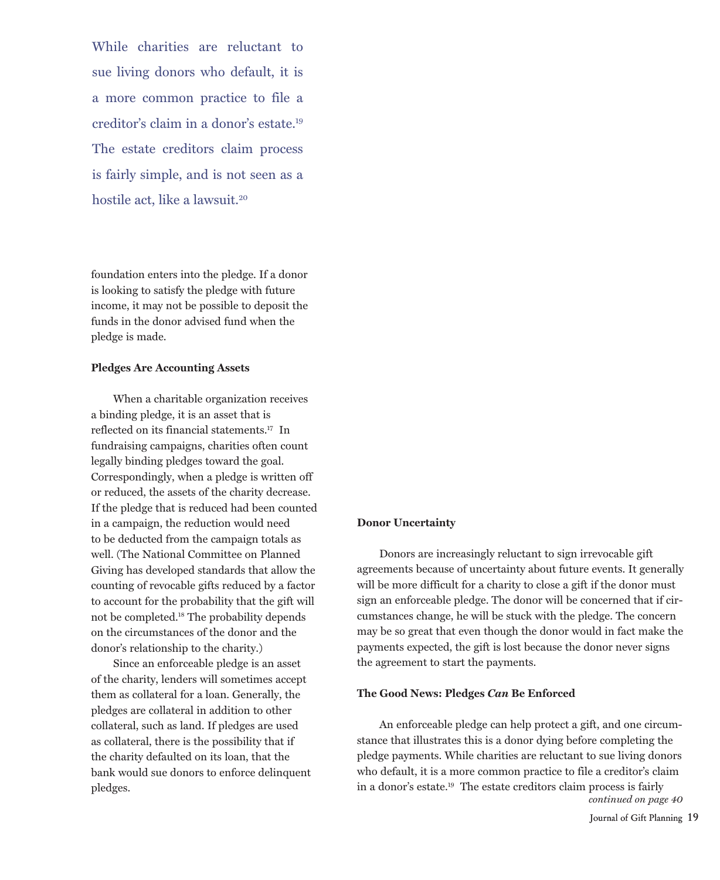While charities are reluctant to sue living donors who default, it is a more common practice to file a creditor's claim in a donor's estate.<sup>19</sup> The estate creditors claim process is fairly simple, and is not seen as a hostile act. like a lawsuit.<sup>20</sup>

foundation enters into the pledge. If a donor is looking to satisfy the pledge with future income, it may not be possible to deposit the funds in the donor advised fund when the pledge is made.

#### **Pledges Are Accounting Assets**

When a charitable organization receives a binding pledge, it is an asset that is reflected on its financial statements.<sup>17</sup> In fundraising campaigns, charities often count legally binding pledges toward the goal. Correspondingly, when a pledge is written off or reduced, the assets of the charity decrease. If the pledge that is reduced had been counted in a campaign, the reduction would need to be deducted from the campaign totals as well. (The National Committee on Planned Giving has developed standards that allow the counting of revocable gifts reduced by a factor to account for the probability that the gift will not be completed.<sup>18</sup> The probability depends on the circumstances of the donor and the donor's relationship to the charity.)

Since an enforceable pledge is an asset of the charity, lenders will sometimes accept them as collateral for a loan. Generally, the pledges are collateral in addition to other collateral, such as land. If pledges are used as collateral, there is the possibility that if the charity defaulted on its loan, that the bank would sue donors to enforce delinquent pledges.

#### **Donor Uncertainty**

Donors are increasingly reluctant to sign irrevocable gift agreements because of uncertainty about future events. It generally will be more difficult for a charity to close a gift if the donor must sign an enforceable pledge. The donor will be concerned that if circumstances change, he will be stuck with the pledge. The concern may be so great that even though the donor would in fact make the payments expected, the gift is lost because the donor never signs the agreement to start the payments.

#### The Good News: Pledges Can Be Enforced

An enforceable pledge can help protect a gift, and one circumstance that illustrates this is a donor dying before completing the pledge payments. While charities are reluctant to sue living donors who default, it is a more common practice to file a creditor's claim in a donor's estate.<sup>19</sup> The estate creditors claim process is fairly continued on page 40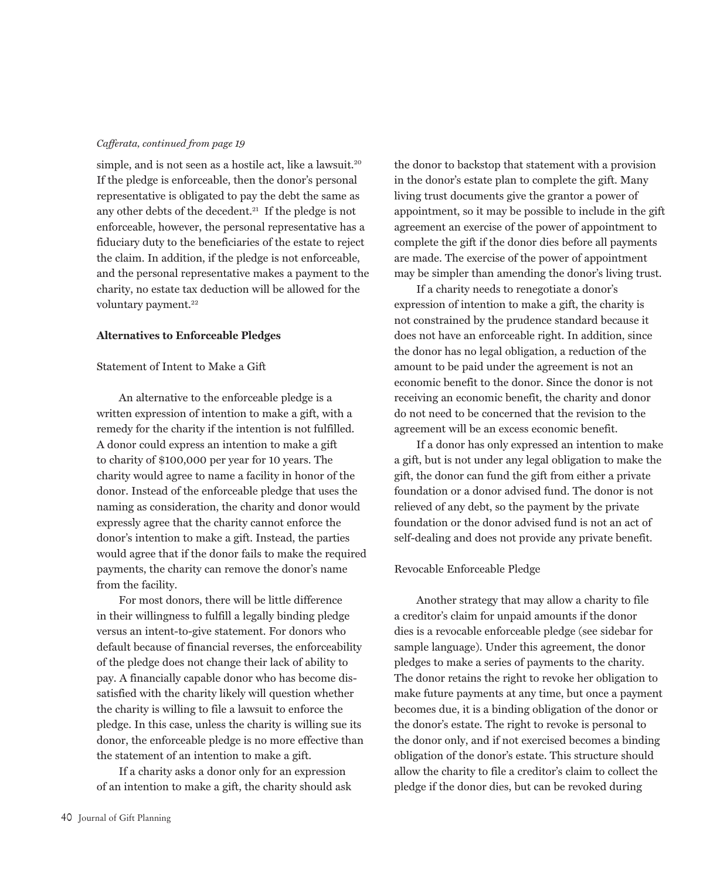## Cafferata, continued from page 19

simple, and is not seen as a hostile act, like a lawsuit.<sup>20</sup> If the pledge is enforceable, then the donor's personal representative is obligated to pay the debt the same as any other debts of the decedent.<sup>21</sup> If the pledge is not enforceable, however, the personal representative has a fiduciary duty to the beneficiaries of the estate to reject the claim. In addition, if the pledge is not enforceable, and the personal representative makes a payment to the charity, no estate tax deduction will be allowed for the voluntary payment.<sup>22</sup>

#### **Alternatives to Enforceable Pledges**

## Statement of Intent to Make a Gift

An alternative to the enforceable pledge is a written expression of intention to make a gift, with a remedy for the charity if the intention is not fulfilled. A donor could express an intention to make a gift to charity of \$100,000 per year for 10 years. The charity would agree to name a facility in honor of the donor. Instead of the enforceable pledge that uses the naming as consideration, the charity and donor would expressly agree that the charity cannot enforce the donor's intention to make a gift. Instead, the parties would agree that if the donor fails to make the required payments, the charity can remove the donor's name from the facility.

For most donors, there will be little difference in their willingness to fulfill a legally binding pledge versus an intent-to-give statement. For donors who default because of financial reverses, the enforceability of the pledge does not change their lack of ability to pay. A financially capable donor who has become dissatisfied with the charity likely will question whether the charity is willing to file a lawsuit to enforce the pledge. In this case, unless the charity is willing sue its donor, the enforceable pledge is no more effective than the statement of an intention to make a gift.

If a charity asks a donor only for an expression of an intention to make a gift, the charity should ask the donor to backstop that statement with a provision in the donor's estate plan to complete the gift. Many living trust documents give the grantor a power of appointment, so it may be possible to include in the gift agreement an exercise of the power of appointment to complete the gift if the donor dies before all payments are made. The exercise of the power of appointment may be simpler than amending the donor's living trust.

If a charity needs to renegotiate a donor's expression of intention to make a gift, the charity is not constrained by the prudence standard because it does not have an enforceable right. In addition, since the donor has no legal obligation, a reduction of the amount to be paid under the agreement is not an economic benefit to the donor. Since the donor is not receiving an economic benefit, the charity and donor do not need to be concerned that the revision to the agreement will be an excess economic benefit.

If a donor has only expressed an intention to make a gift, but is not under any legal obligation to make the gift, the donor can fund the gift from either a private foundation or a donor advised fund. The donor is not relieved of any debt, so the payment by the private foundation or the donor advised fund is not an act of self-dealing and does not provide any private benefit.

## Revocable Enforceable Pledge

Another strategy that may allow a charity to file a creditor's claim for unpaid amounts if the donor dies is a revocable enforceable pledge (see sidebar for sample language). Under this agreement, the donor pledges to make a series of payments to the charity. The donor retains the right to revoke her obligation to make future payments at any time, but once a payment becomes due, it is a binding obligation of the donor or the donor's estate. The right to revoke is personal to the donor only, and if not exercised becomes a binding obligation of the donor's estate. This structure should allow the charity to file a creditor's claim to collect the pledge if the donor dies, but can be revoked during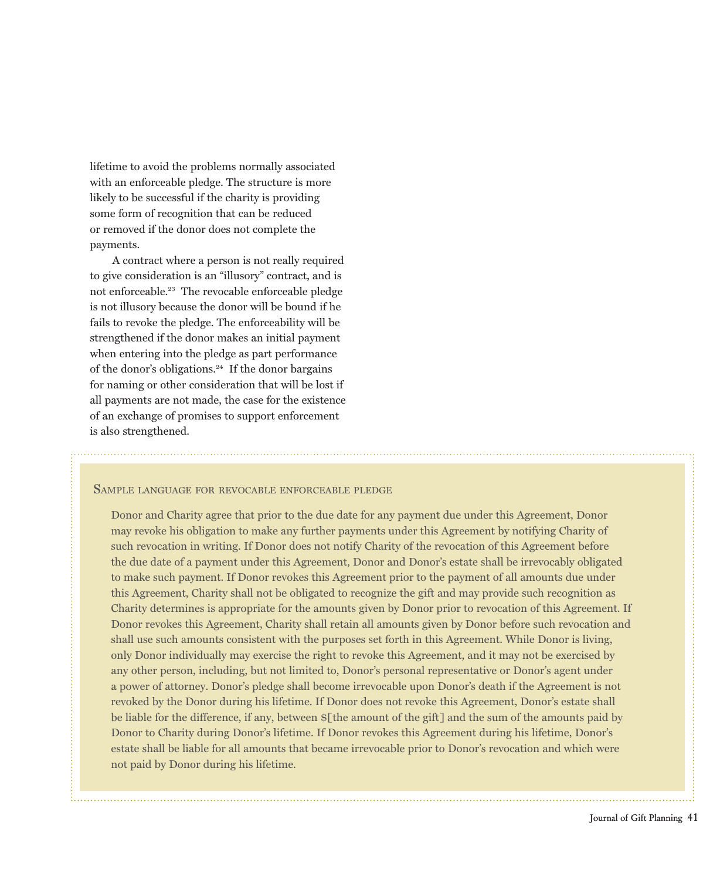lifetime to avoid the problems normally associated with an enforceable pledge. The structure is more likely to be successful if the charity is providing some form of recognition that can be reduced or removed if the donor does not complete the payments.

A contract where a person is not really required to give consideration is an "illusory" contract, and is not enforceable.<sup>23</sup> The revocable enforceable pledge is not illusory because the donor will be bound if he fails to revoke the pledge. The enforceability will be strengthened if the donor makes an initial payment when entering into the pledge as part performance of the donor's obligations.<sup>24</sup> If the donor bargains for naming or other consideration that will be lost if all payments are not made, the case for the existence of an exchange of promises to support enforcement is also strengthened.

## SAMPLE LANGUAGE FOR REVOCABLE ENFORCEABLE PLEDGE

Donor and Charity agree that prior to the due date for any payment due under this Agreement, Donor may revoke his obligation to make any further payments under this Agreement by notifying Charity of such revocation in writing. If Donor does not notify Charity of the revocation of this Agreement before the due date of a payment under this Agreement, Donor and Donor's estate shall be irrevocably obligated to make such payment. If Donor revokes this Agreement prior to the payment of all amounts due under this Agreement, Charity shall not be obligated to recognize the gift and may provide such recognition as Charity determines is appropriate for the amounts given by Donor prior to revocation of this Agreement. If Donor revokes this Agreement, Charity shall retain all amounts given by Donor before such revocation and shall use such amounts consistent with the purposes set forth in this Agreement. While Donor is living, only Donor individually may exercise the right to revoke this Agreement, and it may not be exercised by any other person, including, but not limited to, Donor's personal representative or Donor's agent under a power of attorney. Donor's pledge shall become irrevocable upon Donor's death if the Agreement is not revoked by the Donor during his lifetime. If Donor does not revoke this Agreement, Donor's estate shall be liable for the difference, if any, between \$[the amount of the gift] and the sum of the amounts paid by Donor to Charity during Donor's lifetime. If Donor revokes this Agreement during his lifetime, Donor's estate shall be liable for all amounts that became irrevocable prior to Donor's revocation and which were not paid by Donor during his lifetime.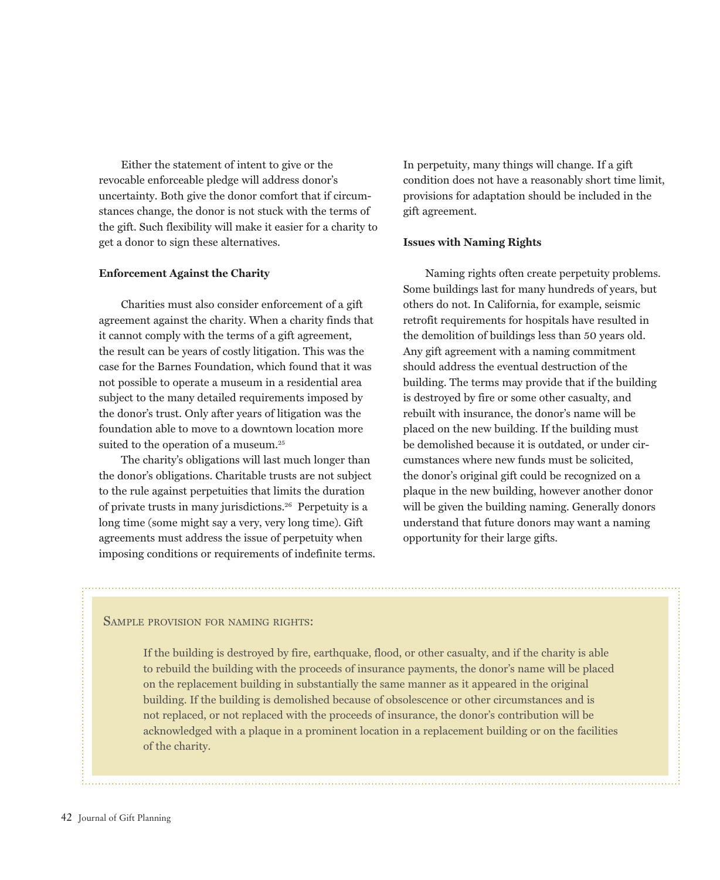Either the statement of intent to give or the revocable enforceable pledge will address donor's uncertainty. Both give the donor comfort that if circumstances change, the donor is not stuck with the terms of the gift. Such flexibility will make it easier for a charity to get a donor to sign these alternatives.

## **Enforcement Against the Charity**

Charities must also consider enforcement of a gift agreement against the charity. When a charity finds that it cannot comply with the terms of a gift agreement, the result can be years of costly litigation. This was the case for the Barnes Foundation, which found that it was not possible to operate a museum in a residential area subject to the many detailed requirements imposed by the donor's trust. Only after years of litigation was the foundation able to move to a downtown location more suited to the operation of a museum.<sup>25</sup>

The charity's obligations will last much longer than the donor's obligations. Charitable trusts are not subject to the rule against perpetuities that limits the duration of private trusts in many jurisdictions.<sup>26</sup> Perpetuity is a long time (some might say a very, very long time). Gift agreements must address the issue of perpetuity when imposing conditions or requirements of indefinite terms. In perpetuity, many things will change. If a gift condition does not have a reasonably short time limit, provisions for adaptation should be included in the gift agreement.

## **Issues with Naming Rights**

Naming rights often create perpetuity problems. Some buildings last for many hundreds of years, but others do not. In California, for example, seismic retrofit requirements for hospitals have resulted in the demolition of buildings less than 50 years old. Any gift agreement with a naming commitment should address the eventual destruction of the building. The terms may provide that if the building is destroyed by fire or some other casualty, and rebuilt with insurance, the donor's name will be placed on the new building. If the building must be demolished because it is outdated, or under circumstances where new funds must be solicited, the donor's original gift could be recognized on a plaque in the new building, however another donor will be given the building naming. Generally donors understand that future donors may want a naming opportunity for their large gifts.

## SAMPLE PROVISION FOR NAMING RIGHTS:

If the building is destroyed by fire, earthquake, flood, or other casualty, and if the charity is able to rebuild the building with the proceeds of insurance payments, the donor's name will be placed on the replacement building in substantially the same manner as it appeared in the original building. If the building is demolished because of obsolescence or other circumstances and is not replaced, or not replaced with the proceeds of insurance, the donor's contribution will be acknowledged with a plaque in a prominent location in a replacement building or on the facilities of the charity.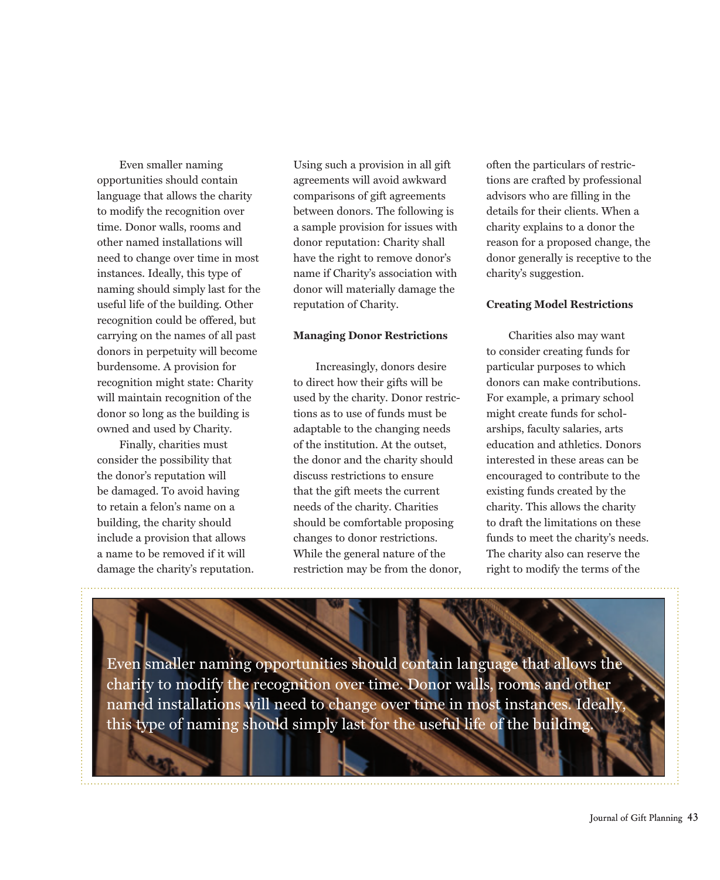Even smaller naming opportunities should contain language that allows the charity to modify the recognition over time. Donor walls, rooms and other named installations will need to change over time in most instances. Ideally, this type of naming should simply last for the useful life of the building. Other recognition could be offered, but carrying on the names of all past donors in perpetuity will become burdensome. A provision for recognition might state: Charity will maintain recognition of the donor so long as the building is owned and used by Charity.

Finally, charities must consider the possibility that the donor's reputation will be damaged. To avoid having to retain a felon's name on a building, the charity should include a provision that allows a name to be removed if it will damage the charity's reputation. Using such a provision in all gift agreements will avoid awkward comparisons of gift agreements between donors. The following is a sample provision for issues with donor reputation: Charity shall have the right to remove donor's name if Charity's association with donor will materially damage the reputation of Charity.

#### **Managing Donor Restrictions**

Increasingly, donors desire to direct how their gifts will be used by the charity. Donor restrictions as to use of funds must be adaptable to the changing needs of the institution. At the outset. the donor and the charity should discuss restrictions to ensure that the gift meets the current needs of the charity. Charities should be comfortable proposing changes to donor restrictions. While the general nature of the restriction may be from the donor, often the particulars of restrictions are crafted by professional advisors who are filling in the details for their clients. When a charity explains to a donor the reason for a proposed change, the donor generally is receptive to the charity's suggestion.

## **Creating Model Restrictions**

Charities also may want to consider creating funds for particular purposes to which donors can make contributions. For example, a primary school might create funds for scholarships, faculty salaries, arts education and athletics. Donors interested in these areas can be encouraged to contribute to the existing funds created by the charity. This allows the charity to draft the limitations on these funds to meet the charity's needs. The charity also can reserve the right to modify the terms of the

Even smaller naming opportunities should contain language that allows the charity to modify the recognition over time. Donor walls, rooms and other named installations will need to change over time in most instances. Ideally this type of naming should simply last for the useful life of the building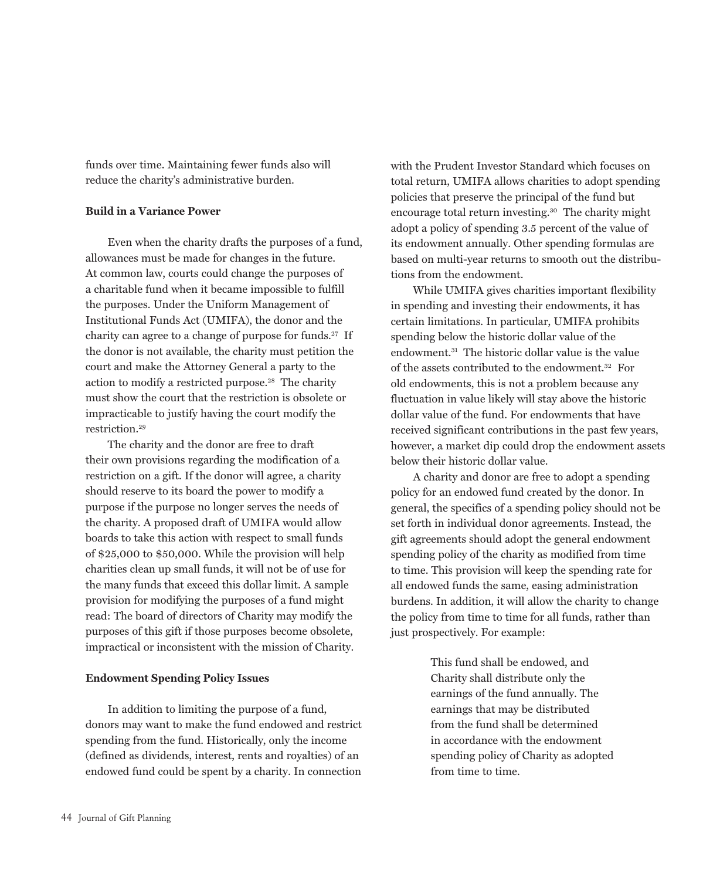funds over time. Maintaining fewer funds also will reduce the charity's administrative burden.

## **Build in a Variance Power**

Even when the charity drafts the purposes of a fund, allowances must be made for changes in the future. At common law, courts could change the purposes of a charitable fund when it became impossible to fulfill the purposes. Under the Uniform Management of Institutional Funds Act (UMIFA), the donor and the charity can agree to a change of purpose for funds.<sup>27</sup> If the donor is not available, the charity must petition the court and make the Attorney General a party to the action to modify a restricted purpose.<sup>28</sup> The charity must show the court that the restriction is obsolete or impracticable to justify having the court modify the restriction. $29$ 

The charity and the donor are free to draft their own provisions regarding the modification of a restriction on a gift. If the donor will agree, a charity should reserve to its board the power to modify a purpose if the purpose no longer serves the needs of the charity. A proposed draft of UMIFA would allow boards to take this action with respect to small funds of \$25,000 to \$50,000. While the provision will help charities clean up small funds, it will not be of use for the many funds that exceed this dollar limit. A sample provision for modifying the purposes of a fund might read: The board of directors of Charity may modify the purposes of this gift if those purposes become obsolete, impractical or inconsistent with the mission of Charity.

# **Endowment Spending Policy Issues**

In addition to limiting the purpose of a fund, donors may want to make the fund endowed and restrict spending from the fund. Historically, only the income (defined as dividends, interest, rents and royalties) of an endowed fund could be spent by a charity. In connection

with the Prudent Investor Standard which focuses on total return, UMIFA allows charities to adopt spending policies that preserve the principal of the fund but encourage total return investing.<sup>30</sup> The charity might adopt a policy of spending 3.5 percent of the value of its endowment annually. Other spending formulas are based on multi-year returns to smooth out the distributions from the endowment.

While UMIFA gives charities important flexibility in spending and investing their endowments, it has certain limitations. In particular, UMIFA prohibits spending below the historic dollar value of the endowment.<sup>31</sup> The historic dollar value is the value of the assets contributed to the endowment.<sup>32</sup> For old endowments, this is not a problem because any fluctuation in value likely will stay above the historic dollar value of the fund. For endowments that have received significant contributions in the past few years, however, a market dip could drop the endowment assets below their historic dollar value.

A charity and donor are free to adopt a spending policy for an endowed fund created by the donor. In general, the specifics of a spending policy should not be set forth in individual donor agreements. Instead, the gift agreements should adopt the general endowment spending policy of the charity as modified from time to time. This provision will keep the spending rate for all endowed funds the same, easing administration burdens. In addition, it will allow the charity to change the policy from time to time for all funds, rather than just prospectively. For example:

> This fund shall be endowed, and Charity shall distribute only the earnings of the fund annually. The earnings that may be distributed from the fund shall be determined in accordance with the endowment spending policy of Charity as adopted from time to time.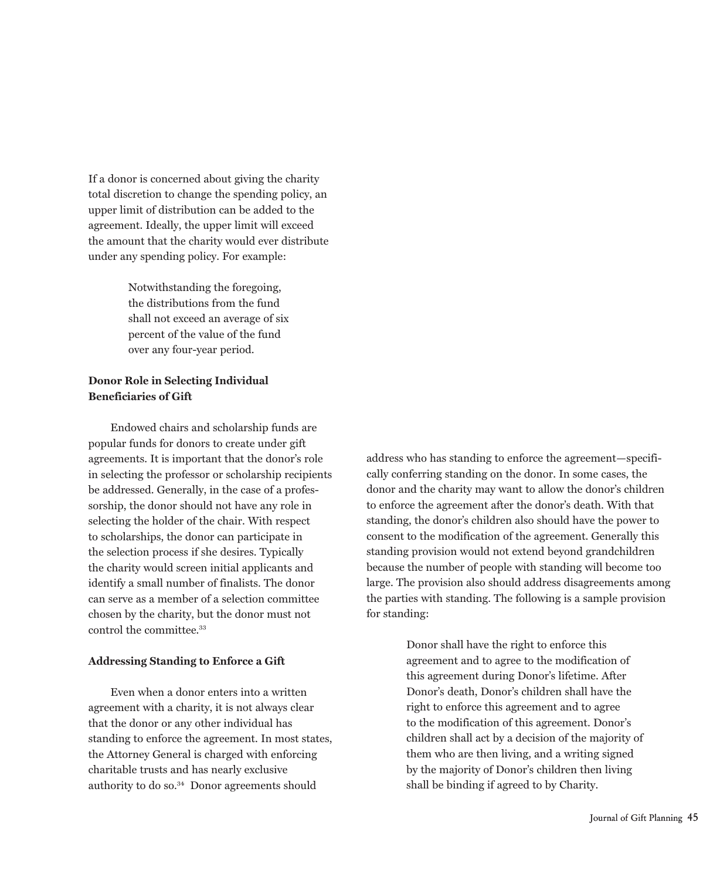If a donor is concerned about giving the charity total discretion to change the spending policy, an upper limit of distribution can be added to the agreement. Ideally, the upper limit will exceed the amount that the charity would ever distribute under any spending policy. For example:

> Notwithstanding the foregoing, the distributions from the fund shall not exceed an average of six percent of the value of the fund over any four-year period.

# **Donor Role in Selecting Individual Beneficiaries of Gift**

Endowed chairs and scholarship funds are popular funds for donors to create under gift agreements. It is important that the donor's role in selecting the professor or scholarship recipients be addressed. Generally, in the case of a professorship, the donor should not have any role in selecting the holder of the chair. With respect to scholarships, the donor can participate in the selection process if she desires. Typically the charity would screen initial applicants and identify a small number of finalists. The donor can serve as a member of a selection committee chosen by the charity, but the donor must not control the committee.<sup>33</sup>

## **Addressing Standing to Enforce a Gift**

Even when a donor enters into a written agreement with a charity, it is not always clear that the donor or any other individual has standing to enforce the agreement. In most states, the Attorney General is charged with enforcing charitable trusts and has nearly exclusive authority to do so.<sup>34</sup> Donor agreements should

address who has standing to enforce the agreement-specifically conferring standing on the donor. In some cases, the donor and the charity may want to allow the donor's children to enforce the agreement after the donor's death. With that standing, the donor's children also should have the power to consent to the modification of the agreement. Generally this standing provision would not extend beyond grandchildren because the number of people with standing will become too large. The provision also should address disagreements among the parties with standing. The following is a sample provision for standing:

> Donor shall have the right to enforce this agreement and to agree to the modification of this agreement during Donor's lifetime. After Donor's death, Donor's children shall have the right to enforce this agreement and to agree to the modification of this agreement. Donor's children shall act by a decision of the majority of them who are then living, and a writing signed by the majority of Donor's children then living shall be binding if agreed to by Charity.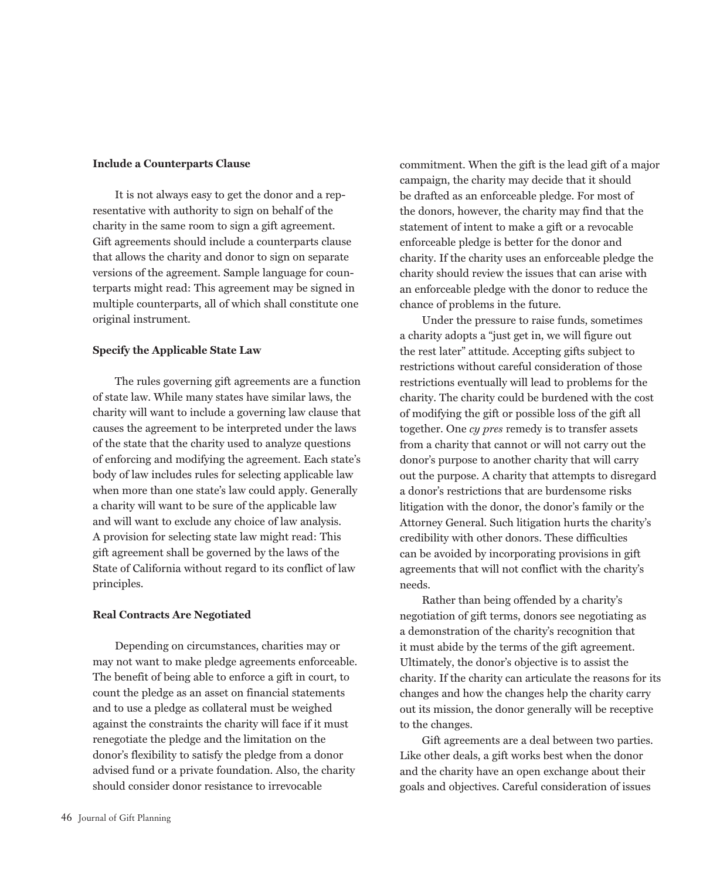## **Include a Counterparts Clause**

It is not always easy to get the donor and a representative with authority to sign on behalf of the charity in the same room to sign a gift agreement. Gift agreements should include a counterparts clause that allows the charity and donor to sign on separate versions of the agreement. Sample language for counterparts might read: This agreement may be signed in multiple counterparts, all of which shall constitute one original instrument.

## **Specify the Applicable State Law**

The rules governing gift agreements are a function of state law. While many states have similar laws, the charity will want to include a governing law clause that causes the agreement to be interpreted under the laws of the state that the charity used to analyze questions of enforcing and modifying the agreement. Each state's body of law includes rules for selecting applicable law when more than one state's law could apply. Generally a charity will want to be sure of the applicable law and will want to exclude any choice of law analysis. A provision for selecting state law might read: This gift agreement shall be governed by the laws of the State of California without regard to its conflict of law principles.

## **Real Contracts Are Negotiated**

Depending on circumstances, charities may or may not want to make pledge agreements enforceable. The benefit of being able to enforce a gift in court, to count the pledge as an asset on financial statements and to use a pledge as collateral must be weighed against the constraints the charity will face if it must renegotiate the pledge and the limitation on the donor's flexibility to satisfy the pledge from a donor advised fund or a private foundation. Also, the charity should consider donor resistance to irrevocable

commitment. When the gift is the lead gift of a major campaign, the charity may decide that it should be drafted as an enforceable pledge. For most of the donors, however, the charity may find that the statement of intent to make a gift or a revocable enforceable pledge is better for the donor and charity. If the charity uses an enforceable pledge the charity should review the issues that can arise with an enforceable pledge with the donor to reduce the chance of problems in the future.

Under the pressure to raise funds, sometimes a charity adopts a "just get in, we will figure out the rest later" attitude. Accepting gifts subject to restrictions without careful consideration of those restrictions eventually will lead to problems for the charity. The charity could be burdened with the cost of modifying the gift or possible loss of the gift all together. One cy pres remedy is to transfer assets from a charity that cannot or will not carry out the donor's purpose to another charity that will carry out the purpose. A charity that attempts to disregard a donor's restrictions that are burdensome risks litigation with the donor, the donor's family or the Attorney General. Such litigation hurts the charity's credibility with other donors. These difficulties can be avoided by incorporating provisions in gift agreements that will not conflict with the charity's needs.

Rather than being offended by a charity's negotiation of gift terms, donors see negotiating as a demonstration of the charity's recognition that it must abide by the terms of the gift agreement. Ultimately, the donor's objective is to assist the charity. If the charity can articulate the reasons for its changes and how the changes help the charity carry out its mission, the donor generally will be receptive to the changes.

Gift agreements are a deal between two parties. Like other deals, a gift works best when the donor and the charity have an open exchange about their goals and objectives. Careful consideration of issues